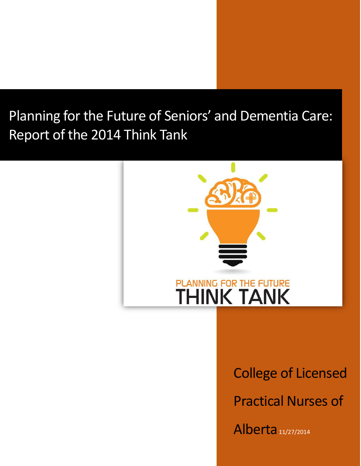## Planning for the Future of Seniors' and Dementia Care: Report of the 2014 Think Tank



# College of Licensed Practical Nurses of

Alberta 11/27/2014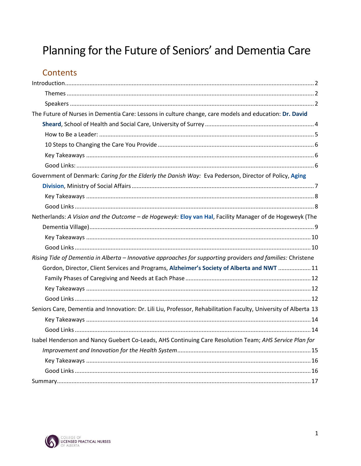## Planning for the Future of Seniors' and Dementia Care

#### Contents

| The Future of Nurses in Dementia Care: Lessons in culture change, care models and education: Dr. David           |  |
|------------------------------------------------------------------------------------------------------------------|--|
|                                                                                                                  |  |
|                                                                                                                  |  |
|                                                                                                                  |  |
|                                                                                                                  |  |
|                                                                                                                  |  |
| Government of Denmark: Caring for the Elderly the Danish Way: Eva Pederson, Director of Policy, Aging            |  |
|                                                                                                                  |  |
|                                                                                                                  |  |
|                                                                                                                  |  |
| Netherlands: A Vision and the Outcome - de Hogeweyk: Eloy van Hal, Facility Manager of de Hogeweyk (The          |  |
|                                                                                                                  |  |
|                                                                                                                  |  |
|                                                                                                                  |  |
| Rising Tide of Dementia in Alberta - Innovative approaches for supporting providers and families: Christene      |  |
| Gordon, Director, Client Services and Programs, Alzheimer's Society of Alberta and NWT  11                       |  |
|                                                                                                                  |  |
|                                                                                                                  |  |
|                                                                                                                  |  |
| Seniors Care, Dementia and Innovation: Dr. Lili Liu, Professor, Rehabilitation Faculty, University of Alberta 13 |  |
|                                                                                                                  |  |
|                                                                                                                  |  |
| Isabel Henderson and Nancy Guebert Co-Leads, AHS Continuing Care Resolution Team; AHS Service Plan for           |  |
|                                                                                                                  |  |
|                                                                                                                  |  |
|                                                                                                                  |  |
|                                                                                                                  |  |

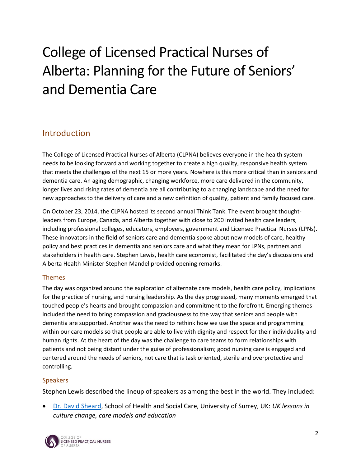## College of Licensed Practical Nurses of Alberta: Planning for the Future of Seniors' and Dementia Care

#### <span id="page-2-0"></span>Introduction

The College of Licensed Practical Nurses of Alberta (CLPNA) believes everyone in the health system needs to be looking forward and working together to create a high quality, responsive health system that meets the challenges of the next 15 or more years. Nowhere is this more critical than in seniors and dementia care. An aging demographic, changing workforce, more care delivered in the community, longer lives and rising rates of dementia are all contributing to a changing landscape and the need for new approaches to the delivery of care and a new definition of quality, patient and family focused care.

On October 23, 2014, the CLPNA hosted its second annual Think Tank. The event brought thoughtleaders from Europe, Canada, and Alberta together with close to 200 invited health care leaders, including professional colleges, educators, employers, government and Licensed Practical Nurses (LPNs). These innovators in the field of seniors care and dementia spoke about new models of care, healthy policy and best practices in dementia and seniors care and what they mean for LPNs, partners and stakeholders in health care. Stephen Lewis, health care economist, facilitated the day's discussions and Alberta Health Minister Stephen Mandel provided opening remarks.

#### <span id="page-2-1"></span>Themes

The day was organized around the exploration of alternate care models, health care policy, implications for the practice of nursing, and nursing leadership. As the day progressed, many moments emerged that touched people's hearts and brought compassion and commitment to the forefront. Emerging themes included the need to bring compassion and graciousness to the way that seniors and people with dementia are supported. Another was the need to rethink how we use the space and programming within our care models so that people are able to live with dignity and respect for their individuality and human rights. At the heart of the day was the challenge to care teams to form relationships with patients and not being distant under the guise of professionalism; good nursing care is engaged and centered around the needs of seniors, not care that is task oriented, sterile and overprotective and controlling.

#### <span id="page-2-2"></span>Speakers

Stephen Lewis described the lineup of speakers as among the best in the world. They included:

 [Dr. David Sheard,](http://www.dementiacarematters.com/davidsheard.html) School of Health and Social Care, University of Surrey, UK: *UK lessons in culture change, care models and education*

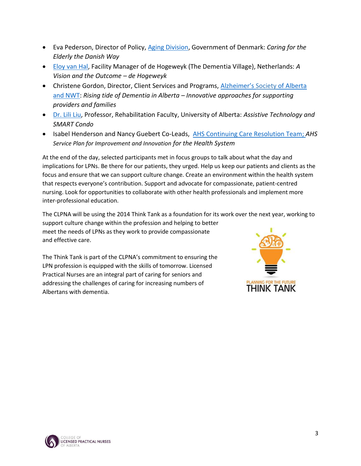- Eva Pederson, Director of Policy, [Aging Division,](http://sm.dk/en/responsibilites/social-affairs/eldercare) Government of Denmark: *Caring for the Elderly the Danish Way*
- [Eloy van Hal,](http://www.vanhaladviespraktijk.nl/index_bestanden/Page398.htm) Facility Manager of de Hogeweyk (The Dementia Village), Netherlands: *A Vision and the Outcome – de Hogeweyk*
- Christene Gordon, Director, Client Services and Programs, [Alzheimer's](http://www.alzheimer.ab.ca/) Society of Alberta [and NWT:](http://www.alzheimer.ab.ca/) *Rising tide of Dementia in Alberta – Innovative approaches for supporting providers and families*
- [Dr. Lili Liu,](https://rehabilitation.ualberta.ca/departments/occupational-therapy/contact-us/staff-directory/liulili) Professor, Rehabilitation Faculty, University of Alberta: *Assistive Technology and SMART Condo*
- Isabel Henderson and Nancy Guebert Co-Leads, [AHS Continuing Care Resolution Team;](http://www.albertahealthservices.ca/10113.asp) *AHS Service Plan for Improvement and Innovation for the Health System*

At the end of the day, selected participants met in focus groups to talk about what the day and implications for LPNs. Be there for our patients, they urged. Help us keep our patients and clients as the focus and ensure that we can support culture change. Create an environment within the health system that respects everyone's contribution. Support and advocate for compassionate, patient-centred nursing. Look for opportunities to collaborate with other health professionals and implement more inter-professional education.

The CLPNA will be using the 2014 Think Tank as a foundation for its work over the next year, working to support culture change within the profession and helping to better

meet the needs of LPNs as they work to provide compassionate and effective care.

The Think Tank is part of the CLPNA's commitment to ensuring the LPN profession is equipped with the skills of tomorrow. Licensed Practical Nurses are an integral part of caring for seniors and addressing the challenges of caring for increasing numbers of Albertans with dementia.



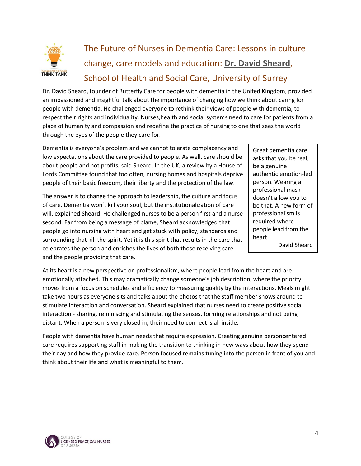

### <span id="page-4-0"></span>The Future of Nurses in Dementia Care: Lessons in culture change, care models and education: **[Dr. David Sheard](http://www.dementiacarematters.com/davidsheard.html)**, School of Health and Social Care, University of Surrey

Dr. David Sheard, founder of Butterfly Care for people with dementia in the United Kingdom, provided an impassioned and insightful talk about the importance of changing how we think about caring for people with dementia. He challenged everyone to rethink their views of people with dementia, to respect their rights and individuality. Nurses,health and social systems need to care for patients from a place of humanity and compassion and redefine the practice of nursing to one that sees the world through the eyes of the people they care for.

Dementia is everyone's problem and we cannot tolerate complacency and low expectations about the care provided to people. As well, care should be about people and not profits, said Sheard. In the UK, a review by a House of Lords Committee found that too often, nursing homes and hospitals deprive people of their basic freedom, their liberty and the protection of the law.

The answer is to change the approach to leadership, the culture and focus of care. Dementia won't kill your soul, but the institutionalization of care will, explained Sheard. He challenged nurses to be a person first and a nurse second. Far from being a message of blame, Sheard acknowledged that people go into nursing with heart and get stuck with policy, standards and surrounding that kill the spirit. Yet it is this spirit that results in the care that celebrates the person and enriches the lives of both those receiving care and the people providing that care.

Great dementia care asks that you be real, be a genuine authentic emotion-led person. Wearing a professional mask doesn't allow you to be that. A new form of professionalism is required where people lead from the heart.

David Sheard

At its heart is a new perspective on professionalism, where people lead from the heart and are emotionally attached. This may dramatically change someone's job description, where the priority moves from a focus on schedules and efficiency to measuring quality by the interactions. Meals might take two hours as everyone sits and talks about the photos that the staff member shows around to stimulate interaction and conversation. Sheard explained that nurses need to create positive social interaction - sharing, reminiscing and stimulating the senses, forming relationships and not being distant. When a person is very closed in, their need to connect is all inside.

People with dementia have human needs that require expression. Creating genuine personcentered care requires supporting staff in making the transition to thinking in new ways about how they spend their day and how they provide care. Person focused remains tuning into the person in front of you and think about their life and what is meaningful to them.

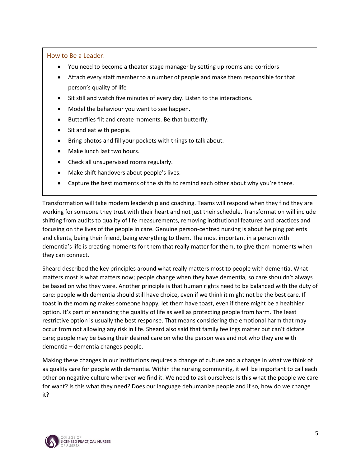#### How to Be a Leader:

- You need to become a theater stage manager by setting up rooms and corridors
- Attach every staff member to a number of people and make them responsible for that person's quality of life
- Sit still and watch five minutes of every day. Listen to the interactions.
- Model the behaviour you want to see happen.
- Butterflies flit and create moments. Be that butterfly.
- Sit and eat with people.
- Bring photos and fill your pockets with things to talk about.
- Make lunch last two hours.
- Check all unsupervised rooms regularly.
- Make shift handovers about people's lives.
- Capture the best moments of the shifts to remind each other about why you're there.

Transformation will take modern leadership and coaching. Teams will respond when they find they are working for someone they trust with their heart and not just their schedule. Transformation will include shifting from audits to quality of life measurements, removing institutional features and practices and focusing on the lives of the people in care. Genuine person-centred nursing is about helping patients and clients, being their friend, being everything to them. The most important in a person with dementia's life is creating moments for them that really matter for them, to give them moments when they can connect.

Sheard described the key principles around what really matters most to people with dementia. What matters most is what matters now; people change when they have dementia, so care shouldn't always be based on who they were. Another principle is that human rights need to be balanced with the duty of care: people with dementia should still have choice, even if we think it might not be the best care. If toast in the morning makes someone happy, let them have toast, even if there might be a healthier option. It's part of enhancing the quality of life as well as protecting people from harm. The least restrictive option is usually the best response. That means considering the emotional harm that may occur from not allowing any risk in life. Sheard also said that family feelings matter but can't dictate care; people may be basing their desired care on who the person was and not who they are with dementia – dementia changes people.

Making these changes in our institutions requires a change of culture and a change in what we think of as quality care for people with dementia. Within the nursing community, it will be important to call each other on negative culture wherever we find it. We need to ask ourselves: Is this what the people we care for want? Is this what they need? Does our language dehumanize people and if so, how do we change it?

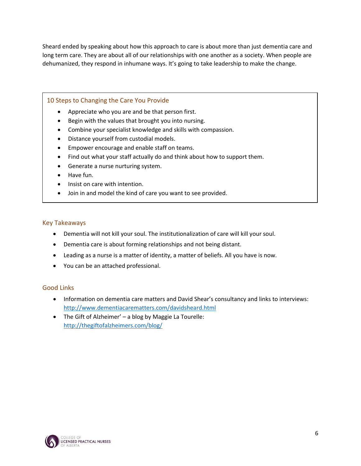Sheard ended by speaking about how this approach to care is about more than just dementia care and long term care. They are about all of our relationships with one another as a society. When people are dehumanized, they respond in inhumane ways. It's going to take leadership to make the change.

#### 10 Steps to Changing the Care You Provide

- Appreciate who you are and be that person first.
- Begin with the values that brought you into nursing.
- Combine your specialist knowledge and skills with compassion.
- Distance yourself from custodial models.
- **•** Empower encourage and enable staff on teams.
- Find out what your staff actually do and think about how to support them.
- Generate a nurse nurturing system.
- Have fun.
- Insist on care with intention.
- Join in and model the kind of care you want to see provided.

#### <span id="page-6-0"></span>Key Takeaways

- Dementia will not kill your soul. The institutionalization of care will kill your soul.
- Dementia care is about forming relationships and not being distant.
- Leading as a nurse is a matter of identity, a matter of beliefs. All you have is now.
- You can be an attached professional.

- <span id="page-6-1"></span> Information on dementia care matters and David Shear's consultancy and links to interviews: <http://www.dementiacarematters.com/davidsheard.html>
- The Gift of Alzheimer' a blog by Maggie La Tourelle: <http://thegiftofalzheimers.com/blog/>

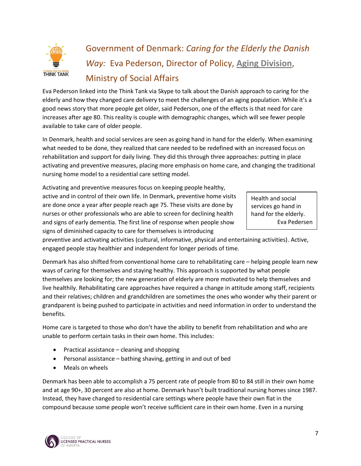

## <span id="page-7-0"></span>Government of Denmark: *Caring for the Elderly the Danish Way:* Eva Pederson, Director of Policy, **[Aging Division](http://sm.dk/en/responsibilites/social-affairs/eldercare)**, Ministry of Social Affairs

Eva Pederson linked into the Think Tank via Skype to talk about the Danish approach to caring for the elderly and how they changed care delivery to meet the challenges of an aging population. While it's a good news story that more people get older, said Pederson, one of the effects is that need for care increases after age 80. This reality is couple with demographic changes, which will see fewer people available to take care of older people.

In Denmark, health and social services are seen as going hand in hand for the elderly. When examining what needed to be done, they realized that care needed to be redefined with an increased focus on rehabilitation and support for daily living. They did this through three approaches: putting in place activating and preventive measures, placing more emphasis on home care, and changing the traditional nursing home model to a residential care setting model.

Activating and preventive measures focus on keeping people healthy, active and in control of their own life. In Denmark, preventive home visits are done once a year after people reach age 75. These visits are done by nurses or other professionals who are able to screen for declining health and signs of early dementia. The first line of response when people show signs of diminished capacity to care for themselves is introducing

Health and social services go hand in hand for the elderly. Eva Pedersen

preventive and activating activities (cultural, informative, physical and entertaining activities). Active, engaged people stay healthier and independent for longer periods of time.

Denmark has also shifted from conventional home care to rehabilitating care – helping people learn new ways of caring for themselves and staying healthy. This approach is supported by what people themselves are looking for; the new generation of elderly are more motivated to help themselves and live healthily. Rehabilitating care approaches have required a change in attitude among staff, recipients and their relatives; children and grandchildren are sometimes the ones who wonder why their parent or grandparent is being pushed to participate in activities and need information in order to understand the benefits.

Home care is targeted to those who don't have the ability to benefit from rehabilitation and who are unable to perform certain tasks in their own home. This includes:

- $\bullet$  Practical assistance cleaning and shopping
- Personal assistance bathing shaving, getting in and out of bed
- Meals on wheels

Denmark has been able to accomplish a 75 percent rate of people from 80 to 84 still in their own home and at age 90+, 30 percent are also at home. Denmark hasn't built traditional nursing homes since 1987. Instead, they have changed to residential care settings where people have their own flat in the compound because some people won't receive sufficient care in their own home. Even in a nursing

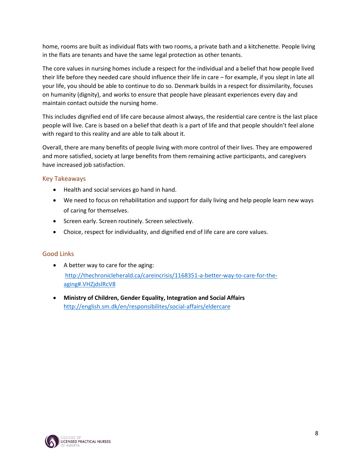home, rooms are built as individual flats with two rooms, a private bath and a kitchenette. People living in the flats are tenants and have the same legal protection as other tenants.

The core values in nursing homes include a respect for the individual and a belief that how people lived their life before they needed care should influence their life in care – for example, if you slept in late all your life, you should be able to continue to do so. Denmark builds in a respect for dissimilarity, focuses on humanity (dignity), and works to ensure that people have pleasant experiences every day and maintain contact outside the nursing home.

This includes dignified end of life care because almost always, the residential care centre is the last place people will live. Care is based on a belief that death is a part of life and that people shouldn't feel alone with regard to this reality and are able to talk about it.

Overall, there are many benefits of people living with more control of their lives. They are empowered and more satisfied, society at large benefits from them remaining active participants, and caregivers have increased job satisfaction.

#### <span id="page-8-0"></span>Key Takeaways

- Health and social services go hand in hand.
- We need to focus on rehabilitation and support for daily living and help people learn new ways of caring for themselves.
- **•** Screen early. Screen routinely. Screen selectively.
- Choice, respect for individuality, and dignified end of life care are core values.

- <span id="page-8-1"></span> A better way to care for the aging: [http://thechronicleherald.ca/careincrisis/1168351-a-better-way-to-care-for-the](http://thechronicleherald.ca/careincrisis/1168351-a-better-way-to-care-for-the-aging#.VHZjdslRcV8)[aging#.VHZjdslRcV8](http://thechronicleherald.ca/careincrisis/1168351-a-better-way-to-care-for-the-aging#.VHZjdslRcV8)
- **Ministry of Children, Gender Equality, Integration and Social Affairs** <http://english.sm.dk/en/responsibilites/social-affairs/eldercare>

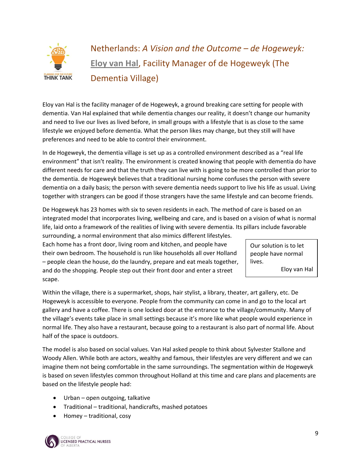<span id="page-9-0"></span>

Eloy van Hal is the facility manager of de Hogeweyk, a ground breaking care setting for people with dementia. Van Hal explained that while dementia changes our reality, it doesn't change our humanity and need to live our lives as lived before, in small groups with a lifestyle that is as close to the same lifestyle we enjoyed before dementia. What the person likes may change, but they still will have preferences and need to be able to control their environment.

In de Hogeweyk, the dementia village is set up as a controlled environment described as a "real life environment" that isn't reality. The environment is created knowing that people with dementia do have different needs for care and that the truth they can live with is going to be more controlled than prior to the dementia. de Hogeweyk believes that a traditional nursing home confuses the person with severe dementia on a daily basis; the person with severe dementia needs support to live his life as usual. Living together with strangers can be good if those strangers have the same lifestyle and can become friends.

De Hogeweyk has 23 homes with six to seven residents in each. The method of care is based on an integrated model that incorporates living, wellbeing and care, and is based on a vision of what is normal life, laid onto a framework of the realities of living with severe dementia. Its pillars include favorable

surrounding, a normal environment that also mimics different lifestyles. Each home has a front door, living room and kitchen, and people have their own bedroom. The household is run like households all over Holland – people clean the house, do the laundry, prepare and eat meals together, and do the shopping. People step out their front door and enter a street scape.

Our solution is to let people have normal lives. Eloy van Hal

Within the village, there is a supermarket, shops, hair stylist, a library, theater, art gallery, etc. De Hogeweyk is accessible to everyone. People from the community can come in and go to the local art gallery and have a coffee. There is one locked door at the entrance to the village/community. Many of the village's events take place in small settings because it's more like what people would experience in normal life. They also have a restaurant, because going to a restaurant is also part of normal life. About half of the space is outdoors.

The model is also based on social values. Van Hal asked people to think about Sylvester Stallone and Woody Allen. While both are actors, wealthy and famous, their lifestyles are very different and we can imagine them not being comfortable in the same surroundings. The segmentation within de Hogeweyk is based on seven lifestyles common throughout Holland at this time and care plans and placements are based on the lifestyle people had:

- Urban open outgoing, talkative
- Traditional traditional, handicrafts, mashed potatoes
- Homey traditional, cosy

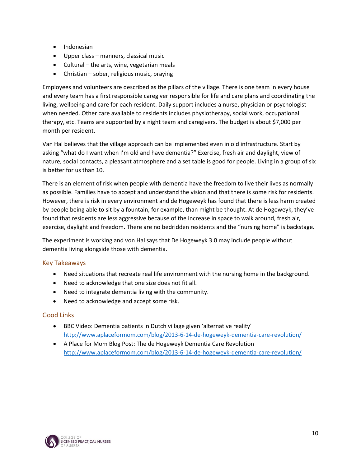- Indonesian
- Upper class manners, classical music
- Cultural the arts, wine, vegetarian meals
- Christian sober, religious music, praying

Employees and volunteers are described as the pillars of the village. There is one team in every house and every team has a first responsible caregiver responsible for life and care plans and coordinating the living, wellbeing and care for each resident. Daily support includes a nurse, physician or psychologist when needed. Other care available to residents includes physiotherapy, social work, occupational therapy, etc. Teams are supported by a night team and caregivers. The budget is about \$7,000 per month per resident.

Van Hal believes that the village approach can be implemented even in old infrastructure. Start by asking "what do I want when I'm old and have dementia?" Exercise, fresh air and daylight, view of nature, social contacts, a pleasant atmosphere and a set table is good for people. Living in a group of six is better for us than 10.

There is an element of risk when people with dementia have the freedom to live their lives as normally as possible. Families have to accept and understand the vision and that there is some risk for residents. However, there is risk in every environment and de Hogeweyk has found that there is less harm created by people being able to sit by a fountain, for example, than might be thought. At de Hogeweyk, they've found that residents are less aggressive because of the increase in space to walk around, fresh air, exercise, daylight and freedom. There are no bedridden residents and the "nursing home" is backstage.

The experiment is working and von Hal says that De Hogeweyk 3.0 may include people without dementia living alongside those with dementia.

#### <span id="page-10-0"></span>Key Takeaways

- Need situations that recreate real life environment with the nursing home in the background.
- Need to acknowledge that one size does not fit all.
- Need to integrate dementia living with the community.
- Need to acknowledge and accept some risk.

- <span id="page-10-1"></span> BBC Video: Dementia patients in Dutch village given 'alternative reality' <http://www.aplaceformom.com/blog/2013-6-14-de-hogeweyk-dementia-care-revolution/>
- A Place for Mom Blog Post: The de Hogeweyk Dementia Care Revolution <http://www.aplaceformom.com/blog/2013-6-14-de-hogeweyk-dementia-care-revolution/>

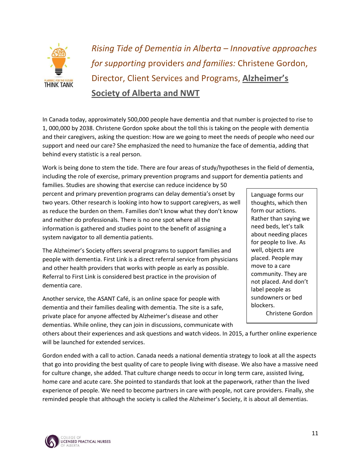

<span id="page-11-0"></span>*Rising Tide of Dementia in Alberta – Innovative approaches for supporting* providers *and families:* Christene Gordon, Director, Client Services and Programs, **[Alzheimer's](http://www.alzheimer.ab.ca/)  [Society of Alberta and NWT](http://www.alzheimer.ab.ca/)**

In Canada today, approximately 500,000 people have dementia and that number is projected to rise to 1, 000,000 by 2038. Christene Gordon spoke about the toll this is taking on the people with dementia and their caregivers, asking the question: How are we going to meet the needs of people who need our support and need our care? She emphasized the need to humanize the face of dementia, adding that behind every statistic is a real person.

Work is being done to stem the tide. There are four areas of study/hypotheses in the field of dementia, including the role of exercise, primary prevention programs and support for dementia patients and

families. Studies are showing that exercise can reduce incidence by 50 percent and primary prevention programs can delay dementia's onset by two years. Other research is looking into how to support caregivers, as well as reduce the burden on them. Families don't know what they don't know and neither do professionals. There is no one spot where all the information is gathered and studies point to the benefit of assigning a system navigator to all dementia patients.

The Alzheimer's Society offers several programs to support families and people with dementia. First Link is a direct referral service from physicians and other health providers that works with people as early as possible. Referral to First Link is considered best practice in the provision of dementia care.

Another service, the ASANT Café, is an online space for people with dementia and their families dealing with dementia. The site is a safe, private place for anyone affected by Alzheimer's disease and other dementias. While online, they can join in discussions, communicate with

Language forms our thoughts, which then form our actions. Rather than saying we need beds, let's talk about needing places for people to live. As well, objects are placed. People may move to a care community. They are not placed. And don't label people as sundowners or bed blockers. Christene Gordon

others about their experiences and ask questions and watch videos. In 2015, a further online experience will be launched for extended services.

Gordon ended with a call to action. Canada needs a national dementia strategy to look at all the aspects that go into providing the best quality of care to people living with disease. We also have a massive need for culture change, she added. That culture change needs to occur in long term care, assisted living, home care and acute care. She pointed to standards that look at the paperwork, rather than the lived experience of people. We need to become partners in care with people, not care providers. Finally, she reminded people that although the society is called the Alzheimer's Society, it is about all dementias.

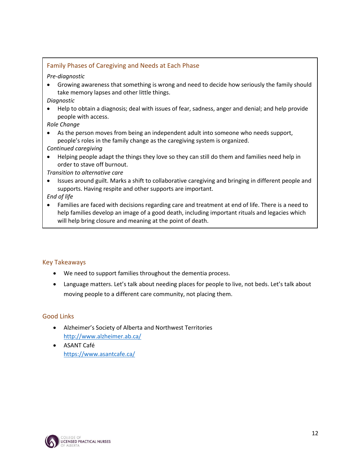#### Family Phases of Caregiving and Needs at Each Phase

*Pre-diagnostic*

 Growing awareness that something is wrong and need to decide how seriously the family should take memory lapses and other little things.

*Diagnostic*

 Help to obtain a diagnosis; deal with issues of fear, sadness, anger and denial; and help provide people with access.

*Role Change*

- As the person moves from being an independent adult into someone who needs support, people's roles in the family change as the caregiving system is organized. *Continued caregiving*
- Helping people adapt the things they love so they can still do them and families need help in order to stave off burnout.
- *Transition to alternative care*
- Issues around guilt. Marks a shift to collaborative caregiving and bringing in different people and supports. Having respite and other supports are important.
- *End of life*
- Families are faced with decisions regarding care and treatment at end of life. There is a need to help families develop an image of a good death, including important rituals and legacies which will help bring closure and meaning at the point of death.

#### <span id="page-12-0"></span>Key Takeaways

- We need to support families throughout the dementia process.
- Language matters. Let's talk about needing places for people to live, not beds. Let's talk about moving people to a different care community, not placing them.

- <span id="page-12-1"></span> Alzheimer's Society of Alberta and Northwest Territories <http://www.alzheimer.ab.ca/>
- ASANT Café <https://www.asantcafe.ca/>

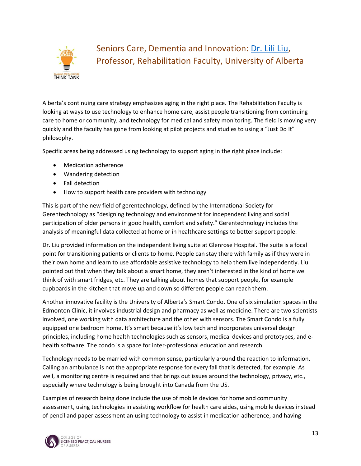

### <span id="page-13-0"></span>Seniors Care, Dementia and Innovation: [Dr. Lili Liu,](https://rehabilitation.ualberta.ca/departments/occupational-therapy/contact-us/staff-directory/liulili) Professor, Rehabilitation Faculty, University of Alberta

Alberta's continuing care strategy emphasizes aging in the right place. The Rehabilitation Faculty is looking at ways to use technology to enhance home care, assist people transitioning from continuing care to home or community, and technology for medical and safety monitoring. The field is moving very quickly and the faculty has gone from looking at pilot projects and studies to using a "Just Do It" philosophy.

Specific areas being addressed using technology to support aging in the right place include:

- Medication adherence
- Wandering detection
- Fall detection
- How to support health care providers with technology

This is part of the new field of gerentechnology, defined by the International Society for Gerentechnology as "designing technology and environment for independent living and social participation of older persons in good health, comfort and safety." Gerentechnology includes the analysis of meaningful data collected at home or in healthcare settings to better support people.

Dr. Liu provided information on the independent living suite at Glenrose Hospital. The suite is a focal point for transitioning patients or clients to home. People can stay there with family as if they were in their own home and learn to use affordable assistive technology to help them live independently. Liu pointed out that when they talk about a smart home, they aren't interested in the kind of home we think of with smart fridges, etc. They are talking about homes that support people, for example cupboards in the kitchen that move up and down so different people can reach them.

Another innovative facility is the University of Alberta's Smart Condo. One of six simulation spaces in the Edmonton Clinic, it involves industrial design and pharmacy as well as medicine. There are two scientists involved, one working with data architecture and the other with sensors. The Smart Condo is a fully equipped one bedroom home. It's smart because it's low tech and incorporates universal design principles, including home health technologies such as sensors, medical devices and prototypes, and ehealth software. The condo is a space for inter-professional education and research

Technology needs to be married with common sense, particularly around the reaction to information. Calling an ambulance is not the appropriate response for every fall that is detected, for example. As well, a monitoring centre is required and that brings out issues around the technology, privacy, etc., especially where technology is being brought into Canada from the US.

Examples of research being done include the use of mobile devices for home and community assessment, using technologies in assisting workflow for health care aides, using mobile devices instead of pencil and paper assessment an using technology to assist in medication adherence, and having

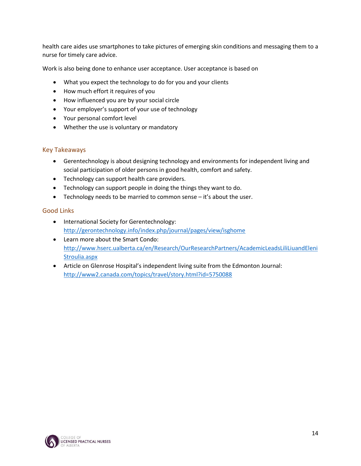health care aides use smartphones to take pictures of emerging skin conditions and messaging them to a nurse for timely care advice.

Work is also being done to enhance user acceptance. User acceptance is based on

- What you expect the technology to do for you and your clients
- How much effort it requires of you
- How influenced you are by your social circle
- Your employer's support of your use of technology
- Your personal comfort level
- Whether the use is voluntary or mandatory

#### <span id="page-14-0"></span>Key Takeaways

- Gerentechnology is about designing technology and environments for independent living and social participation of older persons in good health, comfort and safety.
- Technology can support health care providers.
- Technology can support people in doing the things they want to do.
- Technology needs to be married to common sense it's about the user.

- <span id="page-14-1"></span>• International Society for Gerentechnology: <http://gerontechnology.info/index.php/journal/pages/view/isghome>
- Learn more about the Smart Condo: [http://www.hserc.ualberta.ca/en/Research/OurResearchPartners/AcademicLeadsLiliLiuandEleni](http://www.hserc.ualberta.ca/en/Research/OurResearchPartners/AcademicLeadsLiliLiuandEleniStroulia.aspx) [Stroulia.aspx](http://www.hserc.ualberta.ca/en/Research/OurResearchPartners/AcademicLeadsLiliLiuandEleniStroulia.aspx)
- Article on Glenrose Hospital's independent living suite from the Edmonton Journal: <http://www2.canada.com/topics/travel/story.html?id=5750088>

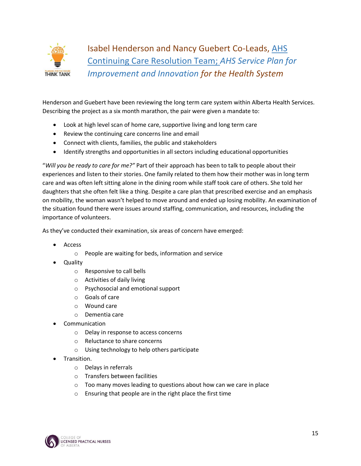

<span id="page-15-0"></span>Isabel Henderson and Nancy Guebert Co-Leads, [AHS](http://www.albertahealthservices.ca/10113.asp)  [Continuing Care Resolution Team;](http://www.albertahealthservices.ca/10113.asp) *AHS Service Plan for Improvement and Innovation for the Health System*

Henderson and Guebert have been reviewing the long term care system within Alberta Health Services. Describing the project as a six month marathon, the pair were given a mandate to:

- Look at high level scan of home care, supportive living and long term care
- Review the continuing care concerns line and email
- Connect with clients, families, the public and stakeholders
- Identify strengths and opportunities in all sectors including educational opportunities

"*Will you be ready to care for me?"* Part of their approach has been to talk to people about their experiences and listen to their stories. One family related to them how their mother was in long term care and was often left sitting alone in the dining room while staff took care of others. She told her daughters that she often felt like a thing. Despite a care plan that prescribed exercise and an emphasis on mobility, the woman wasn't helped to move around and ended up losing mobility. An examination of the situation found there were issues around staffing, communication, and resources, including the importance of volunteers.

As they've conducted their examination, six areas of concern have emerged:

- Access
	- o People are waiting for beds, information and service
- Quality
	- o Responsive to call bells
	- o Activities of daily living
	- o Psychosocial and emotional support
	- o Goals of care
	- o Wound care
	- o Dementia care
- Communication
	- o Delay in response to access concerns
	- o Reluctance to share concerns
	- o Using technology to help others participate
- Transition.
	- o Delays in referrals
	- o Transfers between facilities
	- o Too many moves leading to questions about how can we care in place
	- o Ensuring that people are in the right place the first time

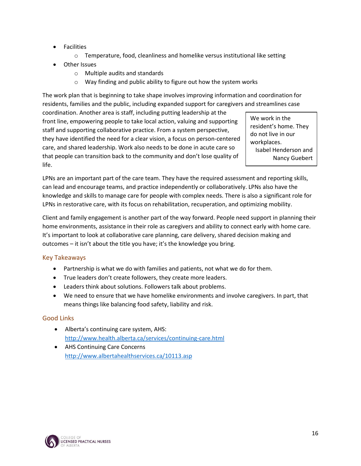- Facilities
	- $\circ$  Temperature, food, cleanliness and homelike versus institutional like setting
- Other Issues
	- o Multiple audits and standards
	- o Way finding and public ability to figure out how the system works

The work plan that is beginning to take shape involves improving information and coordination for residents, families and the public, including expanded support for caregivers and streamlines case

coordination. Another area is staff, including putting leadership at the front line, empowering people to take local action, valuing and supporting staff and supporting collaborative practice. From a system perspective, they have identified the need for a clear vision, a focus on person-centered care, and shared leadership. Work also needs to be done in acute care so that people can transition back to the community and don't lose quality of life.

We work in the resident's home. They do not live in our workplaces. Isabel Henderson and Nancy Guebert

LPNs are an important part of the care team. They have the required assessment and reporting skills, can lead and encourage teams, and practice independently or collaboratively. LPNs also have the knowledge and skills to manage care for people with complex needs. There is also a significant role for LPNs in restorative care, with its focus on rehabilitation, recuperation, and optimizing mobility.

Client and family engagement is another part of the way forward. People need support in planning their home environments, assistance in their role as caregivers and ability to connect early with home care. It's important to look at collaborative care planning, care delivery, shared decision making and outcomes – it isn't about the title you have; it's the knowledge you bring.

#### <span id="page-16-0"></span>Key Takeaways

- Partnership is what we do with families and patients, not what we do for them.
- True leaders don't create followers, they create more leaders.
- Leaders think about solutions. Followers talk about problems.
- We need to ensure that we have homelike environments and involve caregivers. In part, that means things like balancing food safety, liability and risk.

- <span id="page-16-1"></span> Alberta's continuing care system, AHS: <http://www.health.alberta.ca/services/continuing-care.html>
- AHS Continuing Care Concerns <http://www.albertahealthservices.ca/10113.asp>